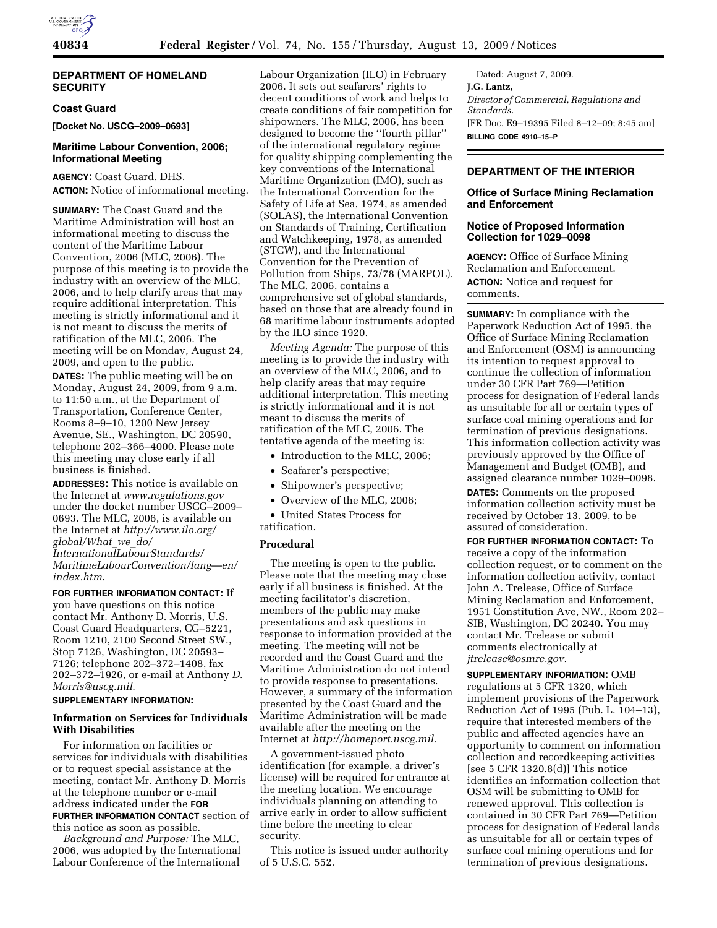# **DEPARTMENT OF HOMELAND SECURITY**

# **Coast Guard**

**[Docket No. USCG–2009–0693]** 

# **Maritime Labour Convention, 2006; Informational Meeting**

**AGENCY:** Coast Guard, DHS. **ACTION:** Notice of informational meeting.

**SUMMARY:** The Coast Guard and the Maritime Administration will host an informational meeting to discuss the content of the Maritime Labour Convention, 2006 (MLC, 2006). The purpose of this meeting is to provide the industry with an overview of the MLC, 2006, and to help clarify areas that may require additional interpretation. This meeting is strictly informational and it is not meant to discuss the merits of ratification of the MLC, 2006. The meeting will be on Monday, August 24, 2009, and open to the public.

**DATES:** The public meeting will be on Monday, August 24, 2009, from 9 a.m. to 11:50 a.m., at the Department of Transportation, Conference Center, Rooms 8–9–10, 1200 New Jersey Avenue, SE., Washington, DC 20590, telephone 202–366–4000. Please note this meeting may close early if all business is finished.

**ADDRESSES:** This notice is available on the Internet at *www.regulations.gov*  under the docket number USCG–2009– 0693. The MLC, 2006, is available on the Internet at *http://www.ilo.org/ global/What*\_*we*\_*do/* 

*InternationalLabourStandards/ MaritimeLabourConvention/lang—en/ index.htm*.

**FOR FURTHER INFORMATION CONTACT:** If you have questions on this notice contact Mr. Anthony D. Morris, U.S. Coast Guard Headquarters, CG–5221, Room 1210, 2100 Second Street SW., Stop 7126, Washington, DC 20593– 7126; telephone 202–372–1408, fax 202–372–1926, or e-mail at Anthony *D. Morris@uscg.mil*.

#### **SUPPLEMENTARY INFORMATION:**

### **Information on Services for Individuals With Disabilities**

For information on facilities or services for individuals with disabilities or to request special assistance at the meeting, contact Mr. Anthony D. Morris at the telephone number or e-mail address indicated under the **FOR FURTHER INFORMATION CONTACT** section of this notice as soon as possible.

*Background and Purpose:* The MLC, 2006, was adopted by the International Labour Conference of the International

Labour Organization (ILO) in February 2006. It sets out seafarers' rights to decent conditions of work and helps to create conditions of fair competition for shipowners. The MLC, 2006, has been designed to become the ''fourth pillar'' of the international regulatory regime for quality shipping complementing the key conventions of the International Maritime Organization (IMO), such as the International Convention for the Safety of Life at Sea, 1974, as amended (SOLAS), the International Convention on Standards of Training, Certification and Watchkeeping, 1978, as amended (STCW), and the International Convention for the Prevention of Pollution from Ships, 73/78 (MARPOL). The MLC, 2006, contains a comprehensive set of global standards, based on those that are already found in 68 maritime labour instruments adopted by the ILO since 1920.

*Meeting Agenda:* The purpose of this meeting is to provide the industry with an overview of the MLC, 2006, and to help clarify areas that may require additional interpretation. This meeting is strictly informational and it is not meant to discuss the merits of ratification of the MLC, 2006. The tentative agenda of the meeting is:

- Introduction to the MLC, 2006;
- Seafarer's perspective;
- Shipowner's perspective;
- Overview of the MLC, 2006;

• United States Process for ratification.

#### **Procedural**

The meeting is open to the public. Please note that the meeting may close early if all business is finished. At the meeting facilitator's discretion, members of the public may make presentations and ask questions in response to information provided at the meeting. The meeting will not be recorded and the Coast Guard and the Maritime Administration do not intend to provide response to presentations. However, a summary of the information presented by the Coast Guard and the Maritime Administration will be made available after the meeting on the Internet at *http://homeport.uscg.mil*.

A government-issued photo identification (for example, a driver's license) will be required for entrance at the meeting location. We encourage individuals planning on attending to arrive early in order to allow sufficient time before the meeting to clear security.

This notice is issued under authority of 5 U.S.C. 552.

Dated: August 7, 2009. **J.G. Lantz,**  *Director of Commercial, Regulations and Standards.*  [FR Doc. E9–19395 Filed 8–12–09; 8:45 am] **BILLING CODE 4910–15–P** 

# **DEPARTMENT OF THE INTERIOR**

#### **Office of Surface Mining Reclamation and Enforcement**

## **Notice of Proposed Information Collection for 1029–0098**

**AGENCY:** Office of Surface Mining Reclamation and Enforcement. **ACTION:** Notice and request for comments.

**SUMMARY:** In compliance with the Paperwork Reduction Act of 1995, the Office of Surface Mining Reclamation and Enforcement (OSM) is announcing its intention to request approval to continue the collection of information under 30 CFR Part 769—Petition process for designation of Federal lands as unsuitable for all or certain types of surface coal mining operations and for termination of previous designations. This information collection activity was previously approved by the Office of Management and Budget (OMB), and assigned clearance number 1029–0098.

**DATES:** Comments on the proposed information collection activity must be received by October 13, 2009, to be assured of consideration.

**FOR FURTHER INFORMATION CONTACT:** To receive a copy of the information collection request, or to comment on the information collection activity, contact John A. Trelease, Office of Surface Mining Reclamation and Enforcement, 1951 Constitution Ave, NW., Room 202– SIB, Washington, DC 20240. You may contact Mr. Trelease or submit comments electronically at *jtrelease@osmre.gov.* 

**SUPPLEMENTARY INFORMATION:** OMB regulations at 5 CFR 1320, which implement provisions of the Paperwork Reduction Act of 1995 (Pub. L. 104–13), require that interested members of the public and affected agencies have an opportunity to comment on information collection and recordkeeping activities [see 5 CFR 1320.8(d)] This notice identifies an information collection that OSM will be submitting to OMB for renewed approval. This collection is contained in 30 CFR Part 769—Petition process for designation of Federal lands as unsuitable for all or certain types of surface coal mining operations and for termination of previous designations.